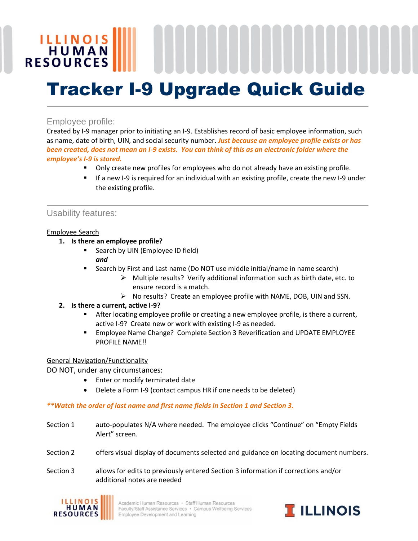# **ILLINOIS**<br>HUMAN **RESOURCES** Tracker I-9 Upgrade Quick Guide

## Employee profile:

Created by I-9 manager prior to initiating an I-9. Establishes record of basic employee information, such as name, date of birth, UIN, and social security number. *Just because an employee profile exists or has been created, does not mean an I-9 exists. You can think of this as an electronic folder where the employee's I-9 is stored.* 

- Only create new profiles for employees who do not already have an existing profile.
- If a new I-9 is required for an individual with an existing profile, create the new I-9 under the existing profile.

### Usability features:

#### Employee Search

- **1. Is there an employee profile?**
	- Search by UIN (Employee ID field) *and*
	- Search by First and Last name (Do NOT use middle initial/name in name search)
		- $\triangleright$  Multiple results? Verify additional information such as birth date, etc. to ensure record is a match.
		- $\triangleright$  No results? Create an employee profile with NAME, DOB, UIN and SSN.

#### **2. Is there a current, active I-9?**

- **After locating employee profile or creating a new employee profile, is there a current,** active I-9? Create new or work with existing I-9 as needed.
- Employee Name Change? Complete Section 3 Reverification and UPDATE EMPLOYEE PROFILE NAME!!

#### General Navigation/Functionality

DO NOT, under any circumstances:

- Enter or modify terminated date
- Delete a Form I-9 (contact campus HR if one needs to be deleted)

#### *\*\*Watch the order of last name and first name fields in Section 1 and Section 3.*

- Section 1 auto-populates N/A where needed. The employee clicks "Continue" on "Empty Fields Alert" screen.
- Section 2 offers visual display of documents selected and guidance on locating document numbers.
- Section 3 allows for edits to previously entered Section 3 information if corrections and/or additional notes are needed